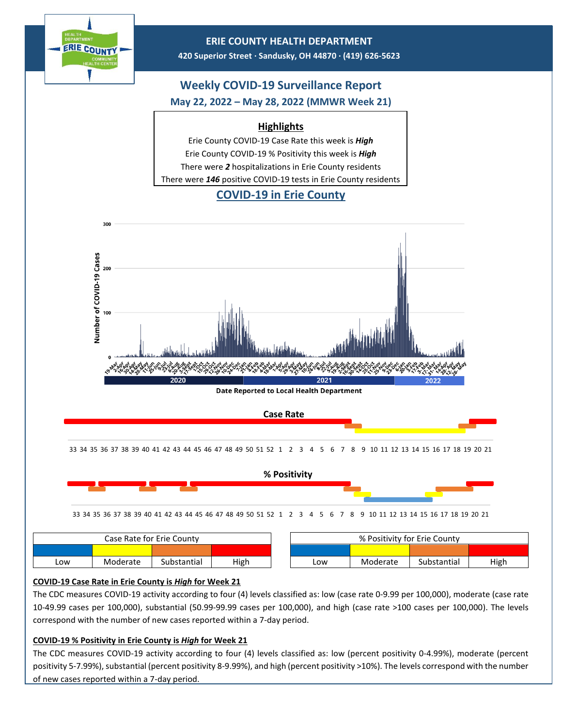

| Case Rate for Erie Countv |          |             |      | % Positivity for Erie County |          |             |      |
|---------------------------|----------|-------------|------|------------------------------|----------|-------------|------|
|                           |          |             |      |                              |          |             |      |
| Low                       | Moderate | Substantial | High | Low                          | Moderate | Substantial | High |

## **COVID-19 Case Rate in Erie County is** *High* **for Week 21**

The CDC measures COVID-19 activity according to four (4) levels classified as: low (case rate 0-9.99 per 100,000), moderate (case rate 10-49.99 cases per 100,000), substantial (50.99-99.99 cases per 100,000), and high (case rate >100 cases per 100,000). The levels correspond with the number of new cases reported within a 7-day period.

## **COVID-19 % Positivity in Erie County is** *High* **for Week 21**

The CDC measures COVID-19 activity according to four (4) levels classified as: low (percent positivity 0-4.99%), moderate (percent positivity 5-7.99%), substantial (percent positivity 8-9.99%), and high (percent positivity >10%). The levels correspond with the number of new cases reported within a 7-day period.